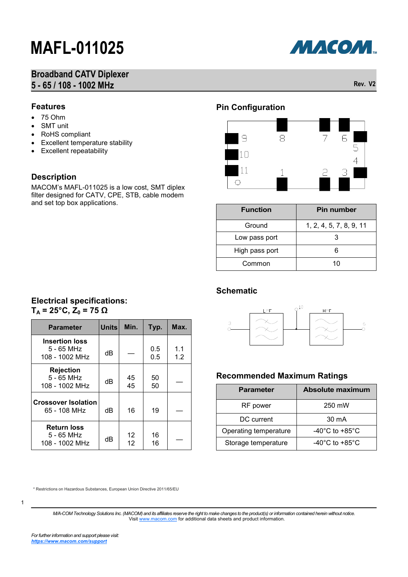## **Broadband CATV Diplexer 5 - 65 / 108 - 1002 MHz Rev. V2**



### **Features**

- $75 Ohm$
- SMT unit
- RoHS compliant
- Excellent temperature stability
- Excellent repeatability

**Insertion loss** 5 - 65 MHz

 $T_A = 25^\circ \text{C}, Z_0 = 75 \Omega$ 

**Rejection** 5 - 65 MHz

**Crossover Isolation**

**Return loss** 5 - 65 MHz

 $108 - 1002$  MHz  $\parallel$  dB

**Electrical specifications:** 

 $108 - 1002 \text{ MHz}$  dB  $45$ <br>108 - 1002 MHz dB 45

 $108 - 1002 \text{ MHz}$  dB  $12$ <br>108 - 1002 MHz dB 12

65 - 108 MHz  $\parallel$  dB  $\parallel$  16  $\parallel$  19

### **Description**

Features<br>
• 75 Ohm<br>
• SMT uni<br>
• RoHS contribution<br>
• Exceller<br> **Description MACOM's Interaction Subset of the Selectrica**<br>
T<sub>A</sub> = 25°C<br>
Parar<br>
Insertion 3 - 10<br>
Figure 5 - 65<br>
108 - 10<br>
Crossovel 65 - 10<br>
Feturi 5 - 65<br>
1 MACOM's MAFL-011025 is a low cost, SMT diplex filter designed for CATV, CPE, STB, cable modem and set top box applications.

**Parameter Units** Min. Typ. Max.

45

12

0.5 0.5

50 <sup>50</sup> —

16 16

1.1 1.2

## **Pin Configuration**



| <b>Function</b> | <b>Pin number</b>       |
|-----------------|-------------------------|
| Ground          | 1, 2, 4, 5, 7, 8, 9, 11 |
| Low pass port   | З                       |
| High pass port  | ิค                      |
| Common          | 10                      |

### **Schematic**



### **Recommended Maximum Ratings**

| <b>Parameter</b>      | Absolute maximum                     |
|-----------------------|--------------------------------------|
| RF power              | 250 mW                               |
| DC current            | $30 \text{ mA}$                      |
| Operating temperature | -40 $^{\circ}$ C to +85 $^{\circ}$ C |
| Storage temperature   | -40 $^{\circ}$ C to +85 $^{\circ}$ C |

\* Restrictions on Hazardous Substances, European Union Directive 2011/65/EU

1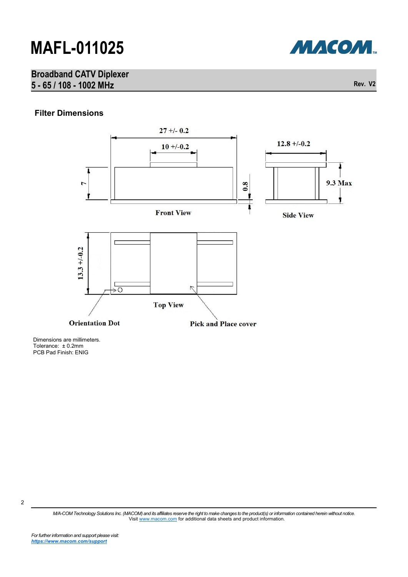## **Broadband CATV Diplexer 5 - 65 / 108 - 1002 MHz Rev. V2**



Dimensions are millimeters. Tolerance: ± 0.2mm PCB Pad Finish: ENIG

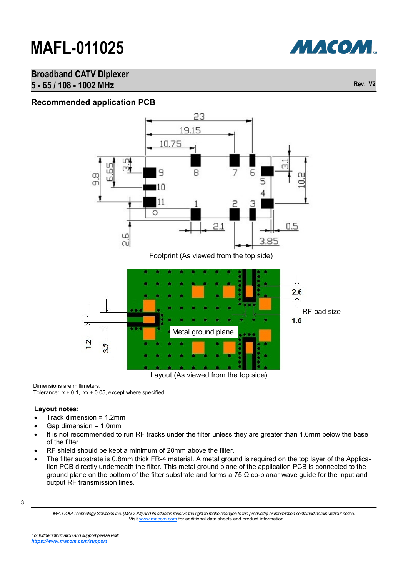

### **Broadband CATV Diplexer 5 - 65 / 108 - 1002 MHz Rev. V2**



Layout (As viewed from the top side)

Dimensions are millimeters. Tolerance:  $x \pm 0.1$ ,  $xx \pm 0.05$ , except where specified.

### **Layout notes:**

- Track dimension = 1.2mm
- Gap dimension = 1.0mm
- It is not recommended to run RF tracks under the filter unless they are greater than 1.6mm below the base of the filter.
- RF shield should be kept a minimum of 20mm above the filter.
- The filter substrate is 0.8mm thick FR-4 material. A metal ground is required on the top layer of the Application PCB directly underneath the filter. This metal ground plane of the application PCB is connected to the ground plane on the bottom of the filter substrate and forms a 75  $\Omega$  co-planar wave guide for the input and output RF transmission lines.

<sup>3</sup>

*M/A-COM Technology Solutions Inc. (MACOM) and its affiliates reserve the right to make changes to the product(s) or information contained herein without notice.*  Visit [www.macom.com](http://www.macom.com/) for additional data sheets and product information.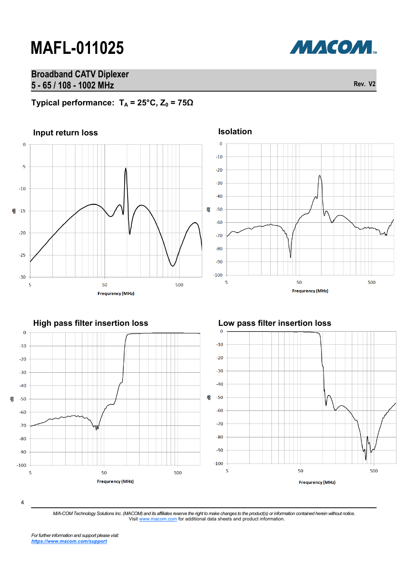## **Broadband CATV Diplexer 5 - 65 / 108 - 1002 MHz Rev. V2**



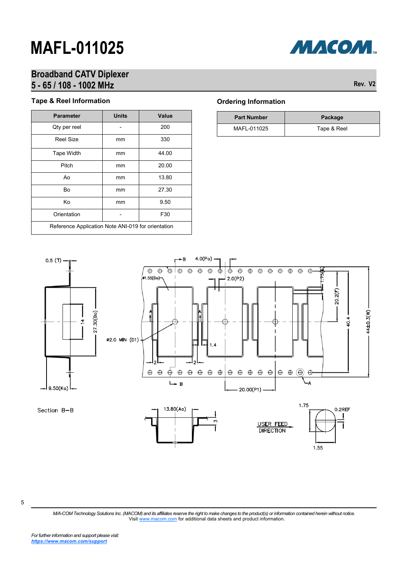

## **Broadband CATV Diplexer 5 - 65 / 108 - 1002 MHz Rev. V2**

### **Tape & Reel Information**

| <b>Parameter</b>                                   | <b>Units</b> | Value |
|----------------------------------------------------|--------------|-------|
| Qty per reel                                       |              | 200   |
| <b>Reel Size</b>                                   | mm           | 330   |
| <b>Tape Width</b>                                  | mm           | 44.00 |
| Pitch                                              | mm           | 20.00 |
| Ao                                                 | mm           | 13.80 |
| Bo                                                 | mm           | 27.30 |
| Κo                                                 | mm           | 9.50  |
| Orientation                                        |              | F30   |
| Reference Application Note ANI-019 for orientation |              |       |

### **Ordering Information**

| <b>Part Number</b> | Package     |
|--------------------|-------------|
| MAFL-011025        | Tape & Reel |



5